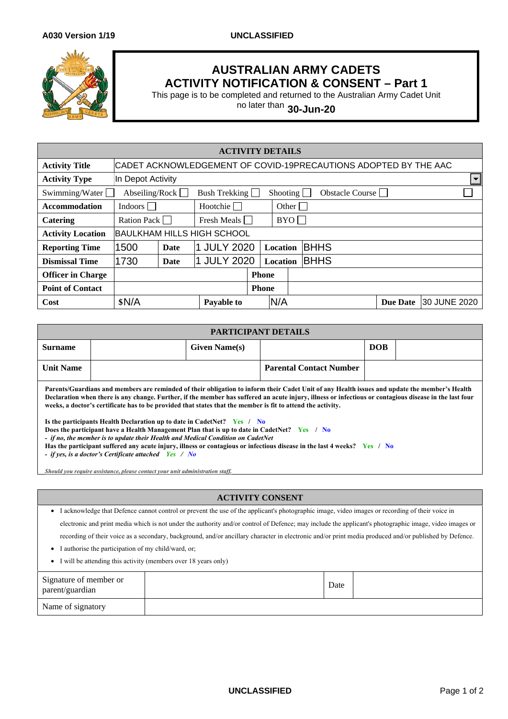

## **AUSTRALIAN ARMY CADETS ACTIVITY NOTIFICATION & CONSENT – Part 1**

This page is to be completed and returned to the Australian Army Cadet Unit

no later than **30-Jun-20**

| <b>ACTIVITY DETAILS</b>                                                                   |                                                                 |             |                 |          |                 |       |             |                 |              |
|-------------------------------------------------------------------------------------------|-----------------------------------------------------------------|-------------|-----------------|----------|-----------------|-------|-------------|-----------------|--------------|
| <b>Activity Title</b>                                                                     | CADET ACKNOWLEDGEMENT OF COVID-19PRECAUTIONS ADOPTED BY THE AAC |             |                 |          |                 |       |             |                 |              |
| <b>Activity Type</b>                                                                      | $\left  \cdot \right $<br>In Depot Activity                     |             |                 |          |                 |       |             |                 |              |
| Swimming/Water<br>Abseiling/Rock $\Box$<br>Bush Trekking<br>Shooting  <br>Obstacle Course |                                                                 |             |                 |          |                 |       |             |                 |              |
| <b>Accommodation</b>                                                                      | Indoors                                                         |             | Hootchie $\Box$ |          |                 | Other |             |                 |              |
| Catering                                                                                  | Ration Pack                                                     | Fresh Meals |                 |          |                 | BYO   |             |                 |              |
| <b>Activity Location</b>                                                                  | <b>BAULKHAM HILLS HIGH SCHOOL</b>                               |             |                 |          |                 |       |             |                 |              |
| <b>Reporting Time</b>                                                                     | 1500                                                            | Date        | 1 JULY 2020     | Location |                 |       | <b>BHHS</b> |                 |              |
| <b>Dismissal Time</b>                                                                     | 1730                                                            | Date        | 1 JULY 2020     |          | <b>Location</b> |       | <b>BHHS</b> |                 |              |
| <b>Officer in Charge</b>                                                                  |                                                                 |             |                 |          | <b>Phone</b>    |       |             |                 |              |
| <b>Point of Contact</b>                                                                   |                                                                 |             |                 |          | <b>Phone</b>    |       |             |                 |              |
| Cost                                                                                      | \$N/A                                                           |             | Payable to      |          | N/A             |       |             | <b>Due Date</b> | 30 JUNE 2020 |

| PARTICIPANT DETAILS                                                                                                                           |  |                      |                                |            |  |  |  |  |
|-----------------------------------------------------------------------------------------------------------------------------------------------|--|----------------------|--------------------------------|------------|--|--|--|--|
| <b>Surname</b>                                                                                                                                |  | <b>Given Name(s)</b> |                                | <b>DOB</b> |  |  |  |  |
| <b>Unit Name</b>                                                                                                                              |  |                      | <b>Parental Contact Number</b> |            |  |  |  |  |
| Parents/Guardians and members are reminded of their obligation to inform their Cadet Unit of any Health issues and update the member's Health |  |                      |                                |            |  |  |  |  |

**Declaration when there is any change. Further, if the member has suffered an acute injury, illness or infectious or contagious disease in the last four weeks, a doctor's certificate has to be provided that states that the member is fit to attend the activity.**

**Is the participants Health Declaration up to date in CadetNet? Yes / No**

**Does the participant have a Health Management Plan that is up to date in CadetNet?** Yes / No

*- if no, the member is to update their Health and Medical Condition on CadetNet*

**Has the participant suffered any acute injury, illness or contagious or infectious disease in the last 4 weeks? Yes / No**

*- if yes, is a doctor's Certificate attached Yes / No*

*Should you require assistance, please contact your unit administration staff.*

## **ACTIVITY CONSENT**

• I acknowledge that Defence cannot control or prevent the use of the applicant's photographic image, video images or recording of their voice in

electronic and print media which is not under the authority and/or control of Defence; may include the applicant's photographic image, video images or

recording of their voice as a secondary, background, and/or ancillary character in electronic and/or print media produced and/or published by Defence.

- I authorise the participation of my child/ward, or;
- I will be attending this activity (members over 18 years only)

| Signature of member or<br>parent/guardian | Date |  |
|-------------------------------------------|------|--|
| Name of signatory                         |      |  |